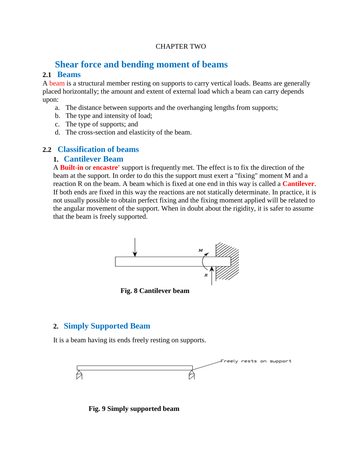### CHAPTER TWO

# **Shear force and bending moment of beams**

### **2.1 Beams**

A beam is a structural member resting on supports to carry vertical loads. Beams are generally placed horizontally; the amount and extent of external load which a beam can carry depends upon:

- a. The distance between supports and the overhanging lengths from supports;
- b. The type and intensity of load;
- c. The type of supports; and
- d. The cross-section and elasticity of the beam.

### **2.2 Classification of beams**

### **1. Cantilever Beam**

A **Built-in** or **encastre'** support is frequently met. The effect is to fix the direction of the beam at the support. In order to do this the support must exert a "fixing" moment M and a reaction R on the beam. A beam which is fixed at one end in this way is called a **Cantilever**. If both ends are fixed in this way the reactions are not statically determinate. In practice, it is not usually possible to obtain perfect fixing and the fixing moment applied will be related to the angular movement of the support. When in doubt about the rigidity, it is safer to assume that the beam is freely supported.



**Fig. 8 Cantilever beam**

# **2. Simply Supported Beam**

It is a beam having its ends freely resting on supports.



**Fig. 9 Simply supported beam**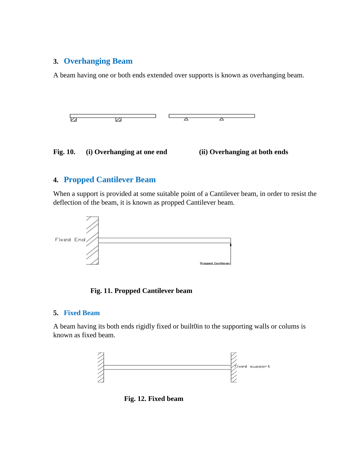### **3. Overhanging Beam**

A beam having one or both ends extended over supports is known as overhanging beam.



## **4. Propped Cantilever Beam**

When a support is provided at some suitable point of a Cantilever beam, in order to resist the deflection of the beam, it is known as propped Cantilever beam.





### **5. Fixed Beam**

A beam having its both ends rigidly fixed or built0in to the supporting walls or colums is known as fixed beam.



**Fig. 12. Fixed beam**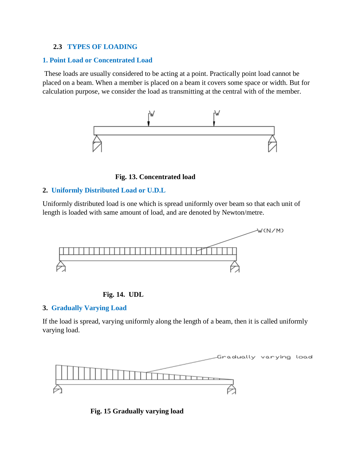### **2.3 TYPES OF LOADING**

### **1. Point Load or Concentrated Load**

These loads are usually considered to be acting at a point. Practically point load cannot be placed on a beam. When a member is placed on a beam it covers some space or width. But for calculation purpose, we consider the load as transmitting at the central with of the member.



**Fig. 13. Concentrated load**

### **2. Uniformly Distributed Load or U.D.L**

Uniformly distributed load is one which is spread uniformly over beam so that each unit of length is loaded with same amount of load, and are denoted by Newton/metre.



### **Fig. 14. UDL**

### **3. Gradually Varying Load**

If the load is spread, varying uniformly along the length of a beam, then it is called uniformly varying load.



**Fig. 15 Gradually varying load**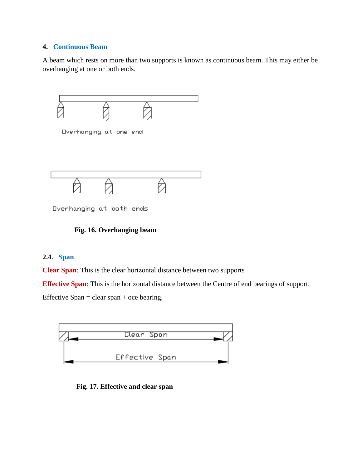### **4. Continuous Beam**

A beam which rests on more than two supports is known as continuous beam. This may either be overhanging at one or both ends.



Overhanging at both ends

### **Fig. 16. Overhanging beam**

### **2.4. Span**

**Clear Span**: This is the clear horizontal distance between two supports

**Effective Span**: This is the horizontal distance between the Centre of end bearings of support.

Effective Span = clear span + oce bearing.



**Fig. 17. Effective and clear span**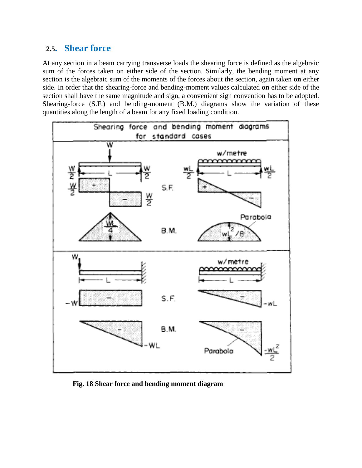# **2.5. Shear force**

At any section in a beam carrying transverse loads the shearing force is defined as the algebraic sum of the forces taken on either side of the section. Similarly, the bending moment at any section is the algebraic sum of the moments of the forces about the section, again taken **on** either side. In order that the shearing-force and bending-moment values calculated **on** either side of the section shall have the same magnitude and sign, a convenient sign convention has to be adopted. Shearing-force (S.F.) and bending-moment (B.M.) diagrams show the variation of these quantities along the length of a beam for any fixed loading condition.



**Fig. 18 Shear force and bending moment diagram**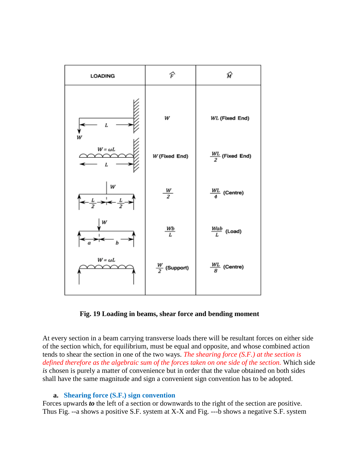

**Fig. 19 Loading in beams, shear force and bending moment** 

At every section in a beam carrying transverse loads there will be resultant forces on either side of the section which, for equilibrium, must be equal and opposite, and whose combined action tends to shear the section in one of the two ways. *The shearing force (S.F.) at the section is defined therefore as the algebraic sum of the forces taken on one side of the section.* Which side *is* chosen is purely a matter of convenience but in order that the value obtained on both sides shall have the same magnitude and sign a convenient sign convention has to be adopted.

### **a. Shearing force (S.F.) sign convention**

Forces upwards *to* the left of a section or downwards to the right of the section are positive. Thus Fig. --a shows a positive S.F. system at X-X and Fig. ---b shows a negative S.F. system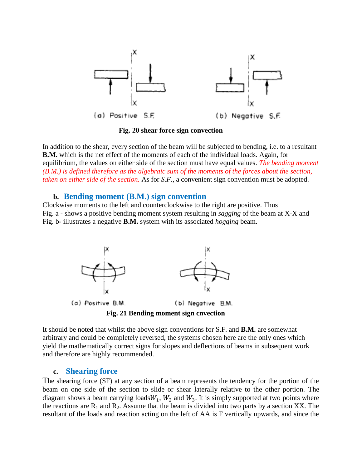

**Fig. 20 shear force sign convection**

In addition to the shear, every section of the beam will be subjected to bending, i.e. to a resultant **B.M.** which is the net effect of the moments of each of the individual loads. Again, for equilibrium, the values on either side of the section must have equal values. *The bending moment (B.M.) is defined therefore as the algebraic sum of the moments of the forces about the section, taken on either side of the section.* As for *S.F.,* a convenient sign convention must be adopted.

### **b. Bending moment (B.M.) sign convention**

Clockwise moments to the left and counterclockwise to the right are positive. Thus Fig. a - shows a positive bending moment system resulting in *sagging* of the beam at X-X and Fig. b- illustrates a negative **B.M.** system with its associated *hogging* beam.



It should be noted that whilst the above sign conventions for S.F. and **B.M.** are somewhat arbitrary and could be completely reversed, the systems chosen here are the only ones which yield the mathematically correct signs for slopes and deflections of beams in subsequent work and therefore are highly recommended.

### **c. Shearing force**

The shearing force (SF) at any section of a beam represents the tendency for the portion of the beam on one side of the section to slide or shear laterally relative to the other portion. The diagram shows a beam carrying loads  $W_1$ ,  $W_2$  and  $W_3$ . It is simply supported at two points where the reactions are  $R_1$  and  $R_2$ . Assume that the beam is divided into two parts by a section XX. The resultant of the loads and reaction acting on the left of AA is F vertically upwards, and since the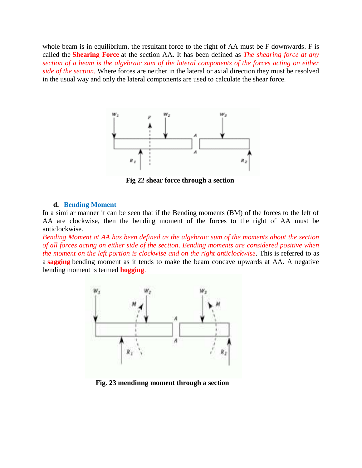whole beam is in equilibrium, the resultant force to the right of AA must be F downwards. F is called the **Shearing Force** at the section AA. It has been defined as *The shearing force at any section of a beam is the algebraic sum of the lateral components of the forces acting on either side of the section.* Where forces are neither in the lateral or axial direction they must be resolved in the usual way and only the lateral components are used to calculate the shear force.



 **Fig 22 shear force through a section**

#### **d. Bending Moment**

In a similar manner it can be seen that if the Bending moments (BM) of the forces to the left of AA are clockwise, then the bending moment of the forces to the right of AA must be anticlockwise.

*Bending Moment at AA has been defined as the algebraic sum of the moments about the section of all forces acting on either side of the section*. *Bending moments are considered positive when the moment on the left portion is clockwise and on the right anticlockwise*. This is referred to as a **sagging** bending moment as it tends to make the beam concave upwards at AA. A negative bending moment is termed **hogging**.



**Fig. 23 mendinng moment through a section**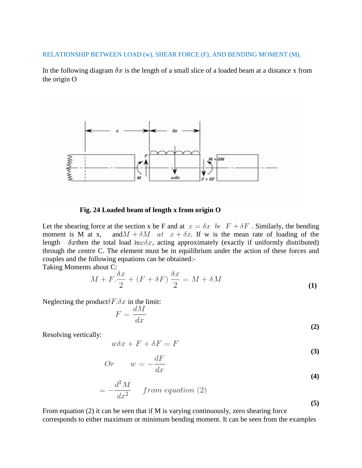RELATIONSHIP BETWEEN LOAD (w), SHEAR FORCE (F), AND BENDING MOMENT (M).

In the following diagram  $\delta x$  is the length of a small slice of a loaded beam at a distance x from the origin O



 **Fig. 24 Loaded beam of length x from origin O**

Let the shearing force at the section x be F and at  $x = \delta x$  be  $F + \delta F$ . Similarly, the bending moment is M at x, and  $M + \delta M$  at  $x + \delta x$ . If w is the mean rate of loading of the length  $\delta x$  then the total load is  $w\delta x$ , acting approximately (exactly if uniformly distributed) through the centre C. The element must be in equilibrium under the action of these forces and couples and the following equations can be obtained:-

Taking Moments about C:

$$
M + F \cdot \frac{\delta x}{2} + (F + \delta F) \frac{\delta x}{2} = M + \delta M \tag{1}
$$

Neglecting the product  $\delta F \cdot \delta x$  in the limit:

$$
F = \frac{dM}{dx} \tag{2}
$$

Resolving vertically:

$$
w\delta x + F + \delta F = F \tag{3}
$$

$$
Or \t w = -\frac{dF}{dx}
$$
\t(4)

$$
=-\frac{d^2M}{dx^2} \quad from equation (2)
$$
\n(5)

From equation (2) it can be seen that if M is varying continuously, zero shearing force corresponds to either maximum or minimum bending moment. It can be seen from the examples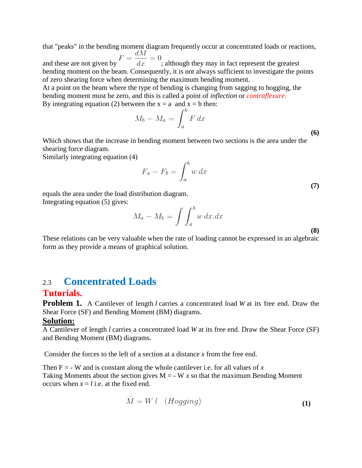that "peaks" in the bending moment diagram frequently occur at concentrated loads or reactions, and these are not given by  $F = \frac{dM}{dx} = 0$ ; although they may in fact represent the greatest

bending moment on the beam. Consequently, it is not always sufficient to investigate the points of zero shearing force when determining the maximum bending moment.

At a point on the beam where the type of bending is changing from sagging to hogging, the bending moment must be zero, and this is called a point of *inflection* or *contraflexure*.

By integrating equation (2) between the x = a and x = b then:<br>  $M_b - M_a = \int_{-a}^{b} F dx$ **(6)**

Which shows that the increase in bending moment between two sections is the area under the shearing force diagram.

Similarly integrating equation (4)

$$
F_a - F_b = \int_a^b w \, dx \tag{7}
$$

equals the area under the load distribution diagram. Integrating equation (5) gives:

$$
M_a - M_b = \int \int_a^b w \, dx \, dx \tag{8}
$$

These relations can be very valuable when the rate of loading cannot be expressed in an algebraic form as they provide a means of graphical solution.

# 2.3 **Concentrated Loads**

### **Tutorials.**

**Problem 1.** A Cantilever of length *l* carries a concentrated load *W* at its free end. Draw the Shear Force (SF) and Bending Moment (BM) diagrams.

### **Solution:**

A Cantilever of length *l* carries a concentrated load *W* at its free end. Draw the Shear Force (SF) and Bending Moment (BM) diagrams.

Consider the forces to the left of a section at a distance *x* from the free end.

Then  $F = -W$  and is constant along the whole cantilever i.e. for all values of x Taking Moments about the section gives  $M = -W x$  so that the maximum Bending Moment occurs when  $x = l$  i.e. at the fixed end.

$$
\hat{M} = W \ l \quad (Hogging) \tag{1}
$$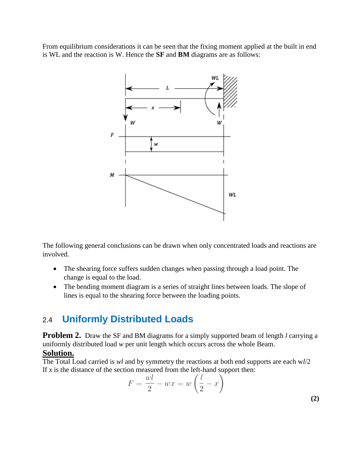From equilibrium considerations it can be seen that the fixing moment applied at the built in end is WL and the reaction is W. Hence the **SF** and **BM** diagrams are as follows:



The following general conclusions can be drawn when only concentrated loads and reactions are involved.

- The shearing force suffers sudden changes when passing through a load point. The change is equal to the load.
- The bending moment diagram is a series of straight lines between loads. The slope of lines is equal to the shearing force between the loading points.

# 2.4 **Uniformly Distributed Loads**

**Problem 2.** Draw the SF and BM diagrams for a simply supported beam of length *l* carrying a uniformly distributed load *w* per unit length which occurs across the whole Beam.

# **Solution.**

The Total Load carried is *wl* and by symmetry the reactions at both end supports are each w*l*/2 If  $x$  is the distance of the section measured from the left-hand support then:

$$
F = \frac{wl}{2} - wx = w\left(\frac{l}{2} - x\right)
$$
\n(2)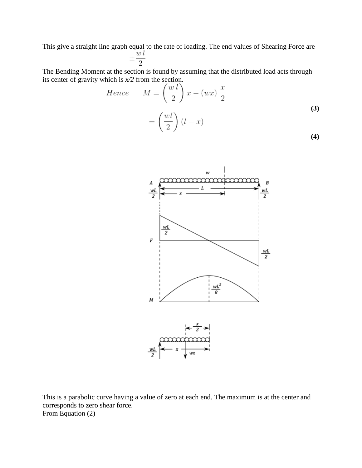This give a straight line graph equal to the rate of loading. The end values of Shearing Force are  $\pm \frac{wl}{2}$ 

The Bending Moment at the section is found by assuming that the distributed load acts through its center of gravity which is *x/2* from the section.

Hence 
$$
M = \left(\frac{w l}{2}\right) x - (wx) \frac{x}{2}
$$
(3)  

$$
= \left(\frac{wl}{2}\right) (l - x)
$$
(4)



This is a parabolic curve having a value of zero at each end. The maximum is at the center and corresponds to zero shear force. From Equation (2)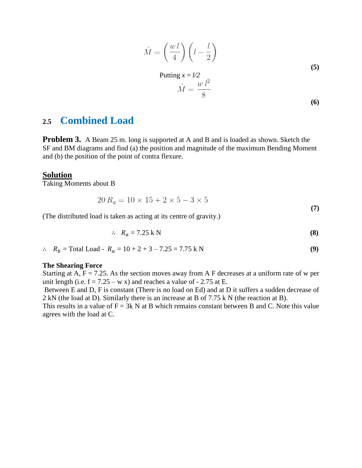$$
\hat{M} = \left(\frac{wl}{4}\right)\left(l - \frac{l}{2}\right)
$$
\n(5)

Putting 
$$
x = l/2
$$
  
\n
$$
\hat{M} = \frac{w l^2}{8}
$$
\n(6)

# **2.5 Combined Load**

**Problem 3.** A Beam 25 m. long is supported at A and B and is loaded as shown. Sketch the SF and BM diagrams and find (a) the position and magnitude of the maximum Bending Moment and (b) the position of the point of contra flexure.

#### **Solution**

Taking Moments about B

$$
20 R_a = 10 \times 15 + 2 \times 5 - 3 \times 5 \tag{7}
$$

(The distributed load is taken as acting at its centre of gravity.)

$$
\therefore R_a = 7.25 \text{ k N} \tag{8}
$$

 $\therefore$   $R_b$  = Total Load -  $R_a$  = 10 + 2 + 3 – 7.25 = 7.75 k N **(9)** 

#### **The Shearing Force**

Starting at A,  $F = 7.25$ . As the section moves away from A F decreases at a uniform rate of w per unit length (i.e.  $f = 7.25 - w x$ ) and reaches a value of  $-2.75$  at E.

Between E and D, F is constant (There is no load on Ed) and at D it suffers a sudden decrease of 2 kN (the load at D). Similarly there is an increase at B of 7.75 k N (the reaction at B).

This results in a value of  $F = 3k$  N at B which remains constant between B and C. Note this value agrees with the load at C.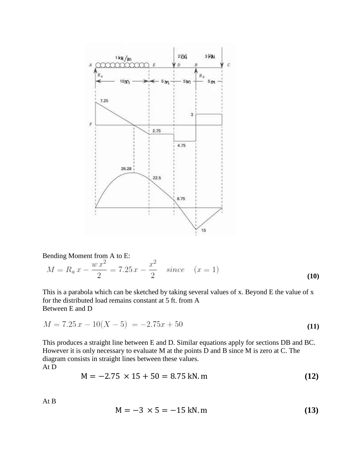

Bending Moment from A to E:

$$
M = R_a x - \frac{w x^2}{2} = 7.25 x - \frac{x^2}{2} \quad since \quad (x = 1)
$$
 (10)

This is a parabola which can be sketched by taking several values of x. Beyond E the value of x for the distributed load remains constant at 5 ft. from A Between E and D

$$
M = 7.25 x - 10(X - 5) = -2.75x + 50
$$
\n<sup>(11)</sup>

This produces a straight line between E and D. Similar equations apply for sections DB and BC. However it is only necessary to evaluate M at the points D and B since M is zero at C. The diagram consists in straight lines between these values. At D

$$
M = -2.75 \times 15 + 50 = 8.75 \text{ kN}.\text{m}
$$
 (12)

At B

$$
M = -3 \times 5 = -15 \text{ kN}.\text{m} \tag{13}
$$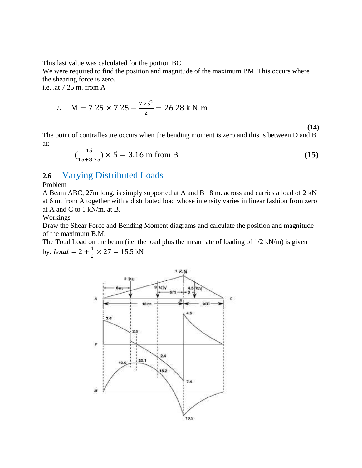This last value was calculated for the portion BC

We were required to find the position and magnitude of the maximum BM. This occurs where the shearing force is zero.

i.e. .at 7.25 m. from A

$$
\therefore \quad M = 7.25 \times 7.25 - \frac{7.25^2}{2} = 26.28 \text{ k N. m}
$$

**(14)**

The point of contraflexure occurs when the bending moment is zero and this is between D and B at:

$$
\left(\frac{15}{15+8.75}\right) \times 5 = 3.16 \text{ m from B} \tag{15}
$$

### **2.6** Varying Distributed Loads

Problem

A Beam ABC, 27m long, is simply supported at A and B 18 m. across and carries a load of 2 kN at 6 m. from A together with a distributed load whose intensity varies in linear fashion from zero at A and C to 1 kN/m. at B.

Workings

Draw the Shear Force and Bending Moment diagrams and calculate the position and magnitude of the maximum B.M.

The Total Load on the beam (i.e. the load plus the mean rate of loading of  $1/2$  kN/m) is given by: *Load* =  $2 + \frac{1}{2}$  $rac{1}{2}$   $\times$ 

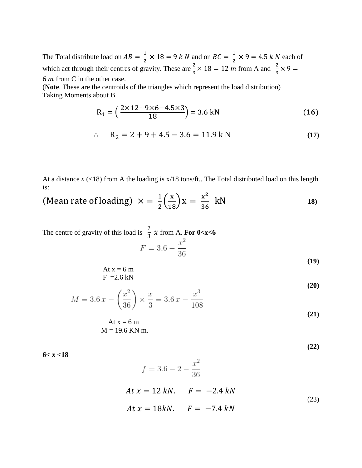The Total distribute load on  $AB = \frac{1}{2}$  $\frac{1}{2} \times 18 = 9 k N$  and on  $BC = \frac{1}{2}$  $\frac{1}{2} \times 9 = 4.5 k N$  each of which act through their centres of gravity. These are  $\frac{2}{3} \times 18 = 12$  m from A and  $\frac{2}{3} \times$  $6m$  from C in the other case.

(**Note**. These are the centroids of the triangles which represent the load distribution) Taking Moments about B

$$
R_1 = \left(\frac{2 \times 12 + 9 \times 6 - 4.5 \times 3}{18}\right) = 3.6 \text{ kN} \tag{16}
$$

$$
\therefore R_2 = 2 + 9 + 4.5 - 3.6 = 11.9 \text{ kN} \tag{17}
$$

At a distance *x* (<18) from A the loading is x/18 tons/ft.. The Total distributed load on this length is:

(Mean rate of loading) 
$$
\times = \frac{1}{2} \left( \frac{x}{18} \right) x = \frac{x^2}{36}
$$
 kN

The centre of gravity of this load is  $\frac{2}{3}$  $\frac{2}{3}$  x from A. **For 0<x<6** 

At 
$$
x = 6
$$
 m  
F = 2.6 kN

$$
M = 3.6 x - \left(\frac{x^2}{36}\right) \times \frac{x}{3} = 3.6 x - \frac{x^3}{108}
$$
\n(20)\n  
\n(21)

$$
At x = 6 m
$$

$$
M = 19.6 KN m.
$$

**(22)**

**(19)**

**6< x <18**

$$
f = 3.6 - 2 - \frac{x^2}{36}
$$
  
At  $x = 12 kN$ .  $F = -2.4 kN$   
At  $x = 18kN$ .  $F = -7.4 kN$  (23)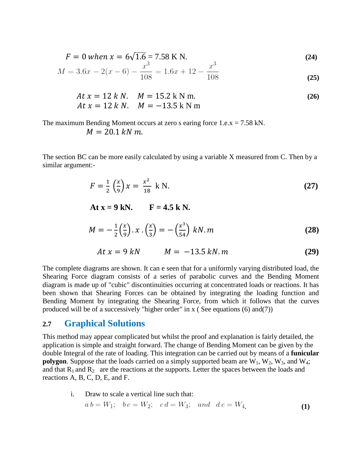$$
F = 0 \text{ when } x = 6\sqrt{1.6} = 7.58 \text{ K N.}
$$
 (24)

$$
M = 3.6x - 2(x - 6) - \frac{x}{108} = 1.6x + 12 - \frac{x}{108}
$$
\n(25)

$$
At x = 12 k N. \quad M = 15.2 k N m. \nAt x = 12 k N. \quad M = -13.5 k N m
$$
\n(26)

The maximum Bending Moment occurs at zero s earing force  $1.e. x = 7.58$  kN.

$$
M=20.1\,kN\,m.
$$

The section BC can be more easily calculated by using a variable X measured from C. Then by a similar argument:-

$$
F = \frac{1}{2} \left( \frac{x}{9} \right) x = \frac{x^2}{18} \text{ k N.}
$$
 (27)

 $At x = 9 kN.$   $F = 4.5 kN.$ 

$$
M = -\frac{1}{2} \left( \frac{x}{9} \right) . x \cdot \left( \frac{x}{3} \right) = -\left( \frac{x^3}{54} \right) kN. m \tag{28}
$$

$$
At x = 9 kN \t M = -13.5 kN.m \t (29)
$$

The complete diagrams are shown. It can e seen that for a uniformly varying distributed load, the Shearing Force diagram consists of a series of parabolic curves and the Bending Moment diagram is made up of "cubic" discontinuities occurring at concentrated loads or reactions. It has been shown that Shearing Forces can be obtained by integrating the loading function and Bending Moment by integrating the Shearing Force, from which it follows that the curves produced will be of a successively "higher order" in x ( See equations (6) and(7))

### **2.7 Graphical Solutions**

This method may appear complicated but whilst the proof and explanation is fairly detailed, the application is simple and straight forward. The change of Bending Moment can be given by the double Integral of the rate of loading. This integration can be carried out by means of a **funicular polygon**. Suppose that the loads carried on a simply supported beam are  $W_1$ ,  $W_2$ ,  $W_3$ , and  $W_4$ ; and that  $R_1$  and  $R_2$  are the reactions at the supports. Letter the spaces between the loads and reactions A, B, C, D, E, and F.

i. Draw to scale a vertical line such that:

$$
a b = W_1;
$$
  $b c = W_2;$   $c d = W_3;$  and  $d e = W_4$  (1)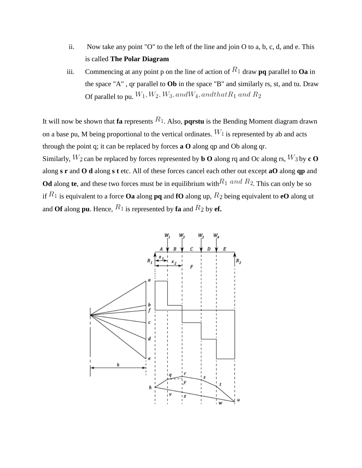- ii. Now take any point "O" to the left of the line and join O to a, b, c, d, and e. This is called **The Polar Diagram**
- iii. Commencing at any point p on the line of action of  $R_1$  draw **pq** parallel to **Oa** in the space "A" , qr parallel to **Ob** in the space "B" and similarly rs, st, and tu. Draw Of parallel to pu,  $W_1, W_2, W_3, and W_4, and that R_1$  and  $R_2$

It will now be shown that **fa** represents  $R_1$ . Also, **parstu** is the Bending Moment diagram drawn on a base pu. M being proportional to the vertical ordinates.  $W_1$  is represented by ab and acts through the point q; it can be replaced by forces **a O** along qp and Ob along qr. Similarly,  $W_2$  can be replaced by forces represented by **b** O along rq and Oc along rs,  $W_3$  by **c** O along **s r** and **O d** along **s t** etc. All of these forces cancel each other out except **aO** along **qp** and **Od** along **te**, and these two forces must be in equilibrium with  $R_1$  and  $R_2$ . This can only be so if  $R_1$  is equivalent to a force **Oa** along **pq** and **fO** along up,  $R_2$  being equivalent to **eO** along ut and **Of** along **pu**. Hence,  $R_1$  is represented by **fa** and  $R_2$  by **ef.** 

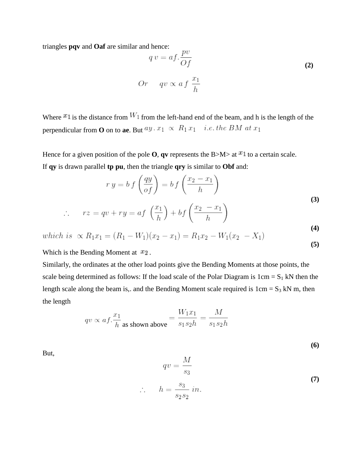triangles **pqv** and **Oaf** are similar and hence:

$$
q v = af. \frac{pv}{Of}
$$
  
Or  $qv \propto af \frac{x_1}{h}$  (2)

Where  $x_1$  is the distance from  $W_1$  from the left-hand end of the beam, and h is the length of the perpendicular from **O** on to **ae**. But  $ay \cdot x_1 \propto R_1 x_1$  *i.e. the BM at*  $x_1$ 

 $\overline{a}$ 

Hence for a given position of the pole **O**, **qv** represents the B>M> at  $x_1$  to a certain scale. If **qy** is drawn parallel **tp pu**, then the triangle **qry** is similar to **Obf** and:

$$
r y = b f\left(\frac{q y}{of}\right) = b f\left(\frac{x_2 - x_1}{h}\right)
$$
\n(3)

$$
\therefore rz = qv + ry = af\left(\frac{-1}{h}\right) + bf\left(\frac{-2}{h}\right)
$$
\n(4)

which is 
$$
\propto R_1 x_1 = (R_1 - W_1)(x_2 - x_1) = R_1 x_2 - W_1 (x_2 - X_1)
$$
 (5)

Which is the Bending Moment at  $x_2$ .

 $\ddot{\phantom{0}}$ 

Similarly, the ordinates at the other load points give the Bending Moments at those points, the scale being determined as follows: If the load scale of the Polar Diagram is  $1 \text{cm} = S_1 \text{kN}$  then the length scale along the beam is,. and the Bending Moment scale required is  $1 \text{cm} = S_3 \text{ kN m}$ , then the length

$$
qv \propto af.\frac{x_1}{h} \text{ as shown above} = \frac{W_1 x_1}{s_1 s_2 h} = \frac{M}{s_1 s_2 h}
$$

 $\mathcal{N}_{\mathcal{A}}$ 

**(6)**

But,

$$
qv = \frac{M}{s_3}
$$
  

$$
h = \frac{s_3}{s_2 s_2} in.
$$
 (7)